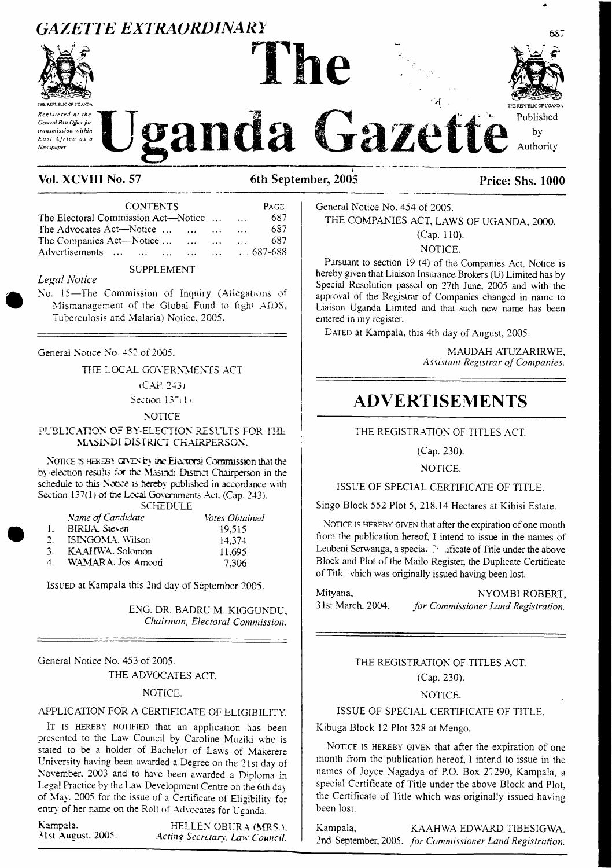# **GAZETTE EXTRAORDINARY**



Posiciored at the General Post Office for transmission within East Africa as a **Newspaper** 



Authority

anda Gazette

# Vol. XCVIII No. 57

6th September, 2005

| <b>CONTENTS</b>                     |                                                                                                                                                                                                                                                                                                                                                                                                                                                                                  | PAGE |
|-------------------------------------|----------------------------------------------------------------------------------------------------------------------------------------------------------------------------------------------------------------------------------------------------------------------------------------------------------------------------------------------------------------------------------------------------------------------------------------------------------------------------------|------|
| The Electoral Commission Act—Notice |                                                                                                                                                                                                                                                                                                                                                                                                                                                                                  | 687  |
| The Advocates Act-Notice            | $\mathbf{1}$                                                                                                                                                                                                                                                                                                                                                                                                                                                                     | 687  |
| The Companies Act-Notice            | $\mathbf{1} \cdot \mathbf{1} \cdot \mathbf{1}$ $\mathbf{1} \cdot \mathbf{1} \cdot \mathbf{1} \cdot \mathbf{1} \cdot \mathbf{1} \cdot \mathbf{1} \cdot \mathbf{1} \cdot \mathbf{1} \cdot \mathbf{1} \cdot \mathbf{1} \cdot \mathbf{1} \cdot \mathbf{1} \cdot \mathbf{1} \cdot \mathbf{1} \cdot \mathbf{1} \cdot \mathbf{1} \cdot \mathbf{1} \cdot \mathbf{1} \cdot \mathbf{1} \cdot \mathbf{1} \cdot \mathbf{1} \cdot \mathbf{1} \cdot \mathbf{1} \cdot \mathbf{1} \cdot \mathbf$ | 687  |
| Advertisements       687-688        |                                                                                                                                                                                                                                                                                                                                                                                                                                                                                  |      |
|                                     |                                                                                                                                                                                                                                                                                                                                                                                                                                                                                  |      |

#### **SUPPLEMENT**

#### Legal Notice

No. 15-The Commission of Inquiry (Allegations of Mismanagement of the Global Fund to fight AIDS, Tuberculosis and Malaria) Notice, 2005.

General Notice No. 452 of 2005.

THE LOCAL GOVERNMENTS ACT

#### $(CAP, 243)$

Section 137(1).

#### **NOTICE**

#### PUBLICATION OF BY-ELECTION RESULTS FOR THE MASINDI DISTRICT CHAIRPERSON.

NOTICE IS HEREBY GIVEN by the Electoral Commission that the by-election results for the Masindi District Chairperson in the schedule to this Notice is hereby published in accordance with Section 137(1) of the Local Governments Act. (Cap. 243).

### **SCHEDULE**

<span id="page-0-0"></span>

|    | Name of Candidate      | <i><b>Notes Obtained</b></i> |
|----|------------------------|------------------------------|
|    | <b>BIRLIA</b> , Steven | 19.515                       |
|    | ISINGOMA, Wilson       | 14.374                       |
|    | KAAHWA. Solomon        | 11.695                       |
| 1. | WAMARA. Jos Amooti     | 7.306                        |

ISSUED at Kampala this 2nd day of September 2005.

ENG. DR. BADRU M. KIGGUNDU, Chairman, Electoral Commission.

General Notice No. 453 of 2005.

THE ADVOCATES ACT.

#### NOTICE.

#### APPLICATION FOR A CERTIFICATE OF ELIGIBILITY.

IT IS HEREBY NOTIFIED that an application has been presented to the Law Council by Caroline Muziki who is stated to be a holder of Bachelor of Laws of Makerere University having been awarded a Degree on the 21st day of November, 2003 and to have been awarded a Diploma in Legal Practice by the Law Development Centre on the 6th day of May. 2005 for the issue of a Certificate of Eligibility for entry of her name on the Roll of Advocates for Uganda.

Kampala. 31st August, 2005.

HELLEN OBURA (MRS.). Acting Secretary, Law Council.

General Notice No. 454 of 2005.

THE COMPANIES ACT, LAWS OF UGANDA, 2000.

 $(Cap. 110).$ NOTICE.

Pursuant to section 19 (4) of the Companies Act. Notice is hereby given that Liaison Insurance Brokers (U) Limited has by Special Resolution passed on 27th June, 2005 and with the approval of the Registrar of Companies changed in name to Liaison Uganda Limited and that such new name has been entered in my register.

DATED at Kampala, this 4th day of August, 2005.

MAUDAH ATUZARIRWE, Assistant Registrar of Companies.

# **ADVERTISEMENTS**

#### THE REGISTRATION OF TITLES ACT.

## $(Cap. 230)$ .

#### NOTICE.

#### ISSUE OF SPECIAL CERTIFICATE OF TITLE

Singo Block 552 Plot 5, 218.14 Hectares at Kibisi Estate.

NOTICE IS HEREBY GIVEN that after the expiration of one month from the publication hereof, I intend to issue in the names of Leubeni Serwanga, a specia. Naificate of Title under the above Block and Plot of the Mailo Register, the Duplicate Certificate of Title which was originally issued having been lost.

NYOMBI ROBERT, Mitvana. 31st March, 2004. for Commissioner Land Registration.

> THE REGISTRATION OF TITLES ACT. (Cap. 230).

#### NOTICE.

#### ISSUE OF SPECIAL CERTIFICATE OF TITLE.

Kibuga Block 12 Plot 328 at Mengo.

NOTICE IS HEREBY GIVEN that after the expiration of one month from the publication hereof, I inter.d to issue in the names of Joyce Nagadya of P.O. Box 27290, Kampala, a special Certificate of Title under the above Block and Plot. the Certificate of Title which was originally issued having been lost.

KAAHWA EDWARD TIBESIGWA. Kampala, 2nd September, 2005. for Commissioner Land Registration.

# **Price: Shs. 1000**